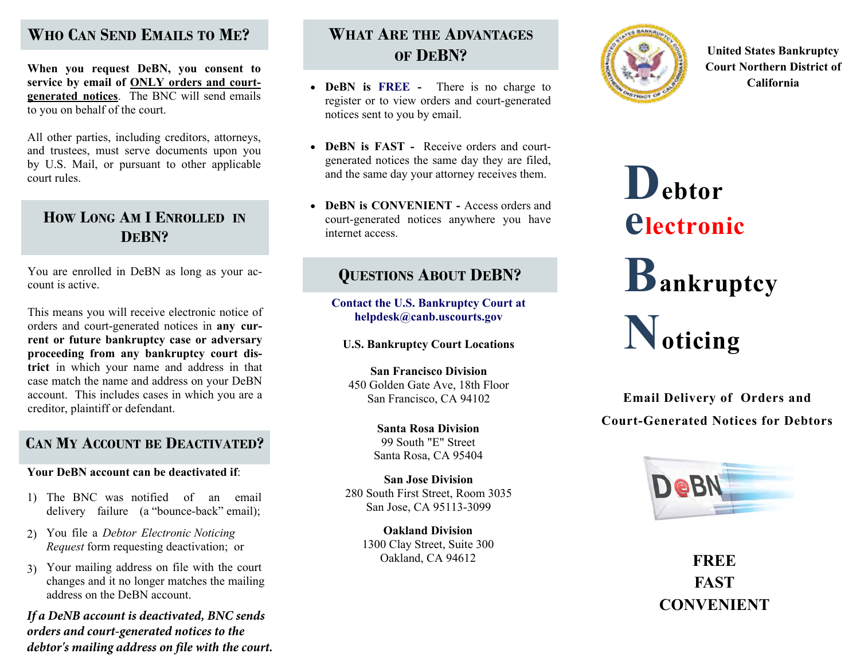# **WHO CAN SEND EMAILS TO<sup>M</sup>E?**

**When you request DeBN, you consent to service by email of ONLY orders and courtgenerated notices**. The BNC will send emails to you on behalf of the court.

All other parties, including creditors, attorneys, and trustees, must serve documents upon you by U.S. Mail, or pursuant to other applicable court rules.

# **HOW LONG AM I ENROLLED IN DEBN?**

You are enrolled in DeBN as long as your account is active.

This means you will receive electronic notice of orders and court-generated notices in **any current or future bankruptcy case or adversary proceeding from any bankruptcy court district** in which your name and address in that case match the name and address on your DeBN account. This includes cases in which you are a creditor, plaintiff or defendant.

# **CANMYACCOUNT BE<sup>D</sup>EACTIVATED?**

### **Your DeBN account can be deactivated if**:

- 1) The BNC was notified of an email delivery failure (a "bounce-back" email);
- 2) You file a *Debtor Electronic NoticingRequest* form requesting deactivation; or
- 3) Your mailing address on file with the court changes and it no longer matches the mailingaddress on the DeBN account.

*If a DeNB account is deactivated, BNC sends orders and court-generated notices to the debtor's mailing address on file with the court.*

# **WHAT ARE THE ADVANTAGES OF DEBN?**

- **DeBN is FREE** There is no charge to register or to view orders and court-generated notices sent to you by email.
- **DeBN is FAST -** Receive orders and courtgenerated notices the same day they are filed, and the same day your attorney receives them.
- **DeBN is CONVENIENT** Access orders andcourt-generated notices anywhere you have internet access.

# **QUESTIONS ABOUT D EBN?**

**Contact the U.S. Bankruptcy Court at helpdesk@canb.uscourts.gov**

**U.S. Bankruptcy Court Locations** 

**San Francisco Division** 450 Golden Gate Ave, 18th FloorSan Francisco, CA 94102

> **Santa Rosa Division** 99 South "E" StreetSanta Rosa, CA 95404

**San Jose Division** 280 South First Street, Room 3035San Jose, CA 95113-3099

> **Oakland Division**  1300 Clay Street, Suite 300Oakland, CA 94612



**United States Bankruptcy Court Northern District of California** 

**Debtorelectronic Bankruptcy Noticing**

**Email Delivery of Orders andCourt-Generated Notices for Debtors** 



**FREEFASTCONVENIENT**